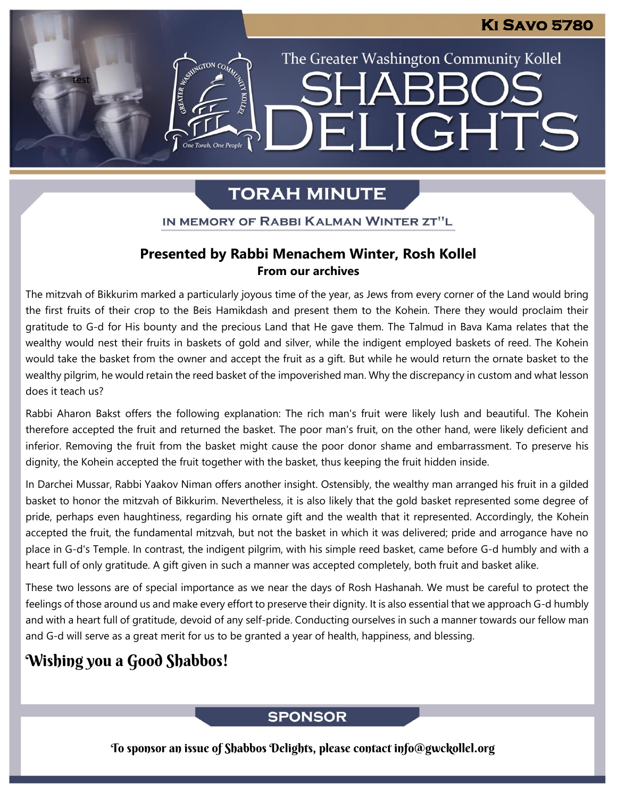### **Ki Savo 5780**

The Greater Washington Community Kollel

ELIGHTS

# **TORAH MINUTE**

IN MEMORY OF RABBI KALMAN WINTER ZT"L

### **Presented by Rabbi Menachem Winter, Rosh Kollel From our archives**

The mitzvah of Bikkurim marked a particularly joyous time of the year, as Jews from every corner of the Land would bring the first fruits of their crop to the Beis Hamikdash and present them to the Kohein. There they would proclaim their gratitude to G-d for His bounty and the precious Land that He gave them. The Talmud in Bava Kama relates that the wealthy would nest their fruits in baskets of gold and silver, while the indigent employed baskets of reed. The Kohein would take the basket from the owner and accept the fruit as a gift. But while he would return the ornate basket to the wealthy pilgrim, he would retain the reed basket of the impoverished man. Why the discrepancy in custom and what lesson does it teach us?

Rabbi Aharon Bakst offers the following explanation: The rich man's fruit were likely lush and beautiful. The Kohein therefore accepted the fruit and returned the basket. The poor man's fruit, on the other hand, were likely deficient and inferior. Removing the fruit from the basket might cause the poor donor shame and embarrassment. To preserve his dignity, the Kohein accepted the fruit together with the basket, thus keeping the fruit hidden inside.

In Darchei Mussar, Rabbi Yaakov Niman offers another insight. Ostensibly, the wealthy man arranged his fruit in a gilded basket to honor the mitzvah of Bikkurim. Nevertheless, it is also likely that the gold basket represented some degree of pride, perhaps even haughtiness, regarding his ornate gift and the wealth that it represented. Accordingly, the Kohein accepted the fruit, the fundamental mitzvah, but not the basket in which it was delivered; pride and arrogance have no place in G-d's Temple. In contrast, the indigent pilgrim, with his simple reed basket, came before G-d humbly and with a heart full of only gratitude. A gift given in such a manner was accepted completely, both fruit and basket alike.

These two lessons are of special importance as we near the days of Rosh Hashanah. We must be careful to protect the feelings of those around us and make every effort to preserve their dignity. It is also essential that we approach G-d humbly and with a heart full of gratitude, devoid of any self-pride. Conducting ourselves in such a manner towards our fellow man and G-d will serve as a great merit for us to be granted a year of health, happiness, and blessing.

## Wishing you a Good Shabbos!

test

ESTRATON CON

One Torah, One People

### **SPONSOR**

To sponsor an issue of Shabbos Delights, please contact info@gwckollel.org